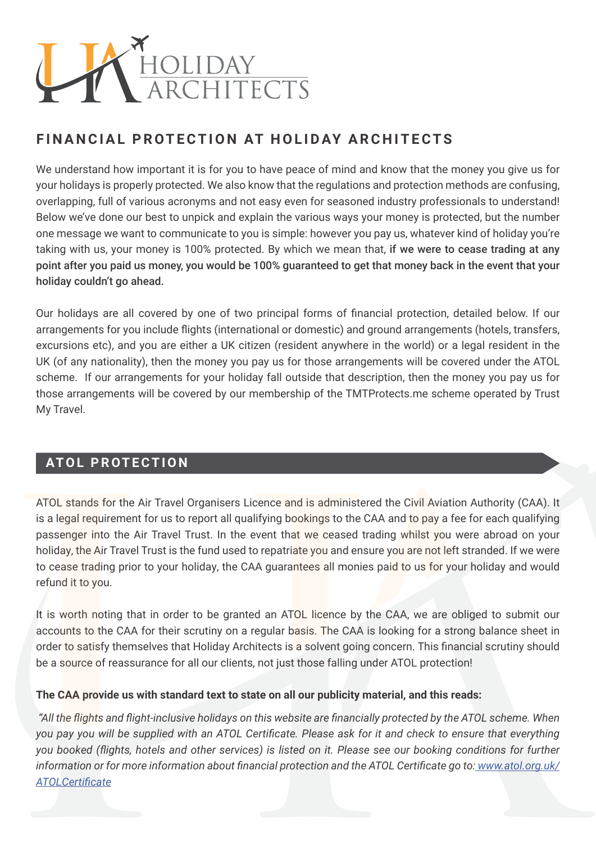

## **FINANCIAL PROTECTION AT HOLIDAY ARCHITECTS**

We understand how important it is for you to have peace of mind and know that the money you give us for your holidays is properly protected. We also know that the regulations and protection methods are confusing, overlapping, full of various acronyms and not easy even for seasoned industry professionals to understand! Below we've done our best to unpick and explain the various ways your money is protected, but the number one message we want to communicate to you is simple: however you pay us, whatever kind of holiday you're taking with us, your money is 100% protected. By which we mean that, if we were to cease trading at any point after you paid us money, you would be 100% guaranteed to get that money back in the event that your holiday couldn't go ahead.

Our holidays are all covered by one of two principal forms of financial protection, detailed below. If our arrangements for you include flights (international or domestic) and ground arrangements (hotels, transfers, excursions etc), and you are either a UK citizen (resident anywhere in the world) or a legal resident in the UK (of any nationality), then the money you pay us for those arrangements will be covered under the ATOL scheme. If our arrangements for your holiday fall outside that description, then the money you pay us for those arrangements will be covered by our membership of the TMTProtects.me scheme operated by Trust My Travel.

## **ATOL PROTECTION**

ATOL stands for the Air Travel Organisers Licence and is administered the Civil Aviation Authority (CAA). It is a legal requirement for us to report all qualifying bookings to the CAA and to pay a fee for each qualifying passenger into the Air Travel Trust. In the event that we ceased trading whilst you were abroad on your holiday, the Air Travel Trust is the fund used to repatriate you and ensure you are not left stranded. If we were to cease trading prior to your holiday, the CAA guarantees all monies paid to us for your holiday and would refund it to you.

It is worth noting that in order to be granted an ATOL licence by the CAA, we are obliged to submit our accounts to the CAA for their scrutiny on a regular basis. The CAA is looking for a strong balance sheet in order to satisfy themselves that Holiday Architects is a solvent going concern. This financial scrutiny should be a source of reassurance for all our clients, not just those falling under ATOL protection!

#### **The CAA provide us with standard text to state on all our publicity material, and this reads:**

 *"All the flights and flight-inclusive holidays on this website are financially protected by the ATOL scheme. When you pay you will be supplied with an ATOL Certificate. Please ask for it and check to ensure that everything you booked (flights, hotels and other services) is listed on it. Please see our booking conditions for further information or for more information about financial protection and the ATOL Certificate go to: www.atol.org.uk/ ATOLCertificate*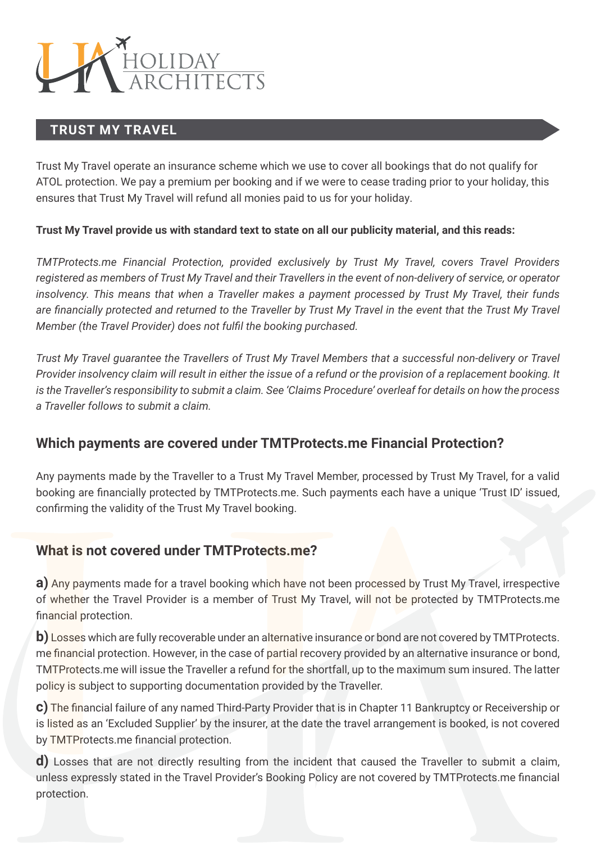

## **TRUST MY TRAVEL**

Trust My Travel operate an insurance scheme which we use to cover all bookings that do not qualify for ATOL protection. We pay a premium per booking and if we were to cease trading prior to your holiday, this ensures that Trust My Travel will refund all monies paid to us for your holiday.

#### **Trust My Travel provide us with standard text to state on all our publicity material, and this reads:**

*TMTProtects.me Financial Protection, provided exclusively by Trust My Travel, covers Travel Providers registered as members of Trust My Travel and their Travellers in the event of non-delivery of service, or operator insolvency. This means that when a Traveller makes a payment processed by Trust My Travel, their funds*  are financially protected and returned to the Traveller by Trust My Travel in the event that the Trust My Travel *Member (the Travel Provider) does not fulfil the booking purchased.*

*Trust My Travel guarantee the Travellers of Trust My Travel Members that a successful non-delivery or Travel Provider insolvency claim will result in either the issue of a refund or the provision of a replacement booking. It is the Traveller's responsibility to submit a claim. See 'Claims Procedure' overleaf for details on how the process a Traveller follows to submit a claim.*

## **Which payments are covered under TMTProtects.me Financial Protection?**

Any payments made by the Traveller to a Trust My Travel Member, processed by Trust My Travel, for a valid booking are financially protected by TMTProtects.me. Such payments each have a unique 'Trust ID' issued, confirming the validity of the Trust My Travel booking.

## **What is not covered under TMTProtects.me?**

**a)** Any payments made for a travel booking which have not been processed by Trust My Travel, irrespective of whether the Travel Provider is a member of Trust My Travel, will not be protected by TMTProtects.me financial protection.

**b)** Losses which are fully recoverable under an alternative insurance or bond are not covered by TMTProtects. me financial protection. However, in the case of partial recovery provided by an alternative insurance or bond, TMTProtects.me will issue the Traveller a refund for the shortfall, up to the maximum sum insured. The latter policy is subject to supporting documentation provided by the Traveller.

**c)** The financial failure of any named Third-Party Provider that is in Chapter 11 Bankruptcy or Receivership or is listed as an 'Excluded Supplier' by the insurer, at the date the travel arrangement is booked, is not covered by TMTProtects.me financial protection.

**d**) Losses that are not directly resulting from the incident that caused the Traveller to submit a claim, unless expressly stated in the Travel Provider's Booking Policy are not covered by TMTProtects.me financial protection.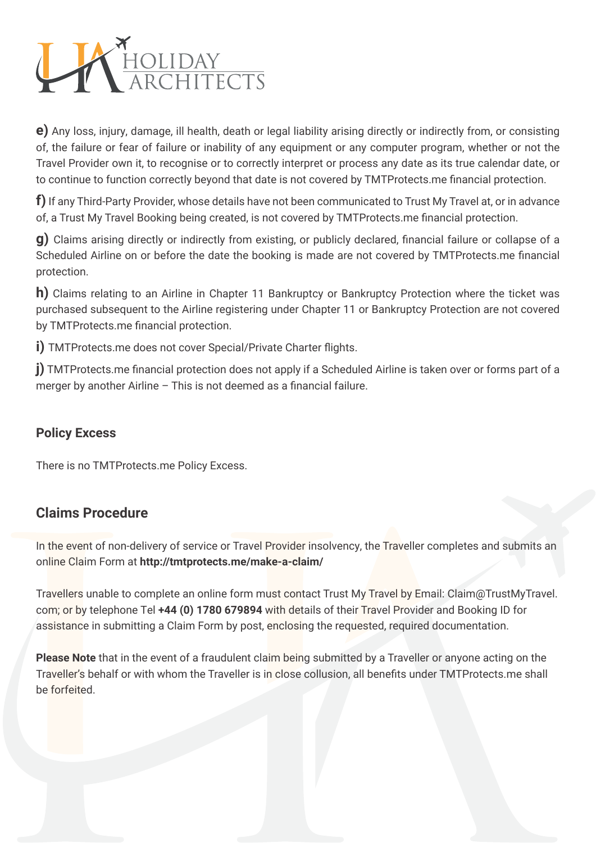

**e)** Any loss, injury, damage, ill health, death or legal liability arising directly or indirectly from, or consisting of, the failure or fear of failure or inability of any equipment or any computer program, whether or not the Travel Provider own it, to recognise or to correctly interpret or process any date as its true calendar date, or to continue to function correctly beyond that date is not covered by TMTProtects.me financial protection.

**f)** If any Third-Party Provider, whose details have not been communicated to Trust My Travel at, or in advance of, a Trust My Travel Booking being created, is not covered by TMTProtects.me financial protection.

**g)** Claims arising directly or indirectly from existing, or publicly declared, financial failure or collapse of a Scheduled Airline on or before the date the booking is made are not covered by TMTProtects.me financial protection.

**h**) Claims relating to an Airline in Chapter 11 Bankruptcy or Bankruptcy Protection where the ticket was purchased subsequent to the Airline registering under Chapter 11 or Bankruptcy Protection are not covered by TMTProtects.me financial protection.

**i) TMTProtects.me does not cover Special/Private Charter flights.** 

**j)** TMTProtects.me financial protection does not apply if a Scheduled Airline is taken over or forms part of a merger by another Airline – This is not deemed as a financial failure.

## **Policy Excess**

There is no TMTProtects.me Policy Excess.

## **Claims Procedure**

In the event of non-delivery of service or Travel Provider insolvency, the Traveller completes and submits an online Claim Form at **http://tmtprotects.me/make-a-claim/**

Travellers unable to complete an online form must contact Trust My Travel by Email: Claim@TrustMyTravel. com; or by telephone Tel **+44 (0) 1780 679894** with details of their Travel Provider and Booking ID for assistance in submitting a Claim Form by post, enclosing the requested, required documentation.

**Please Note** that in the event of a fraudulent claim being submitted by a Traveller or anyone acting on the Traveller's behalf or with whom the Traveller is in close collusion, all benefits under TMTProtects.me shall be forfeited.